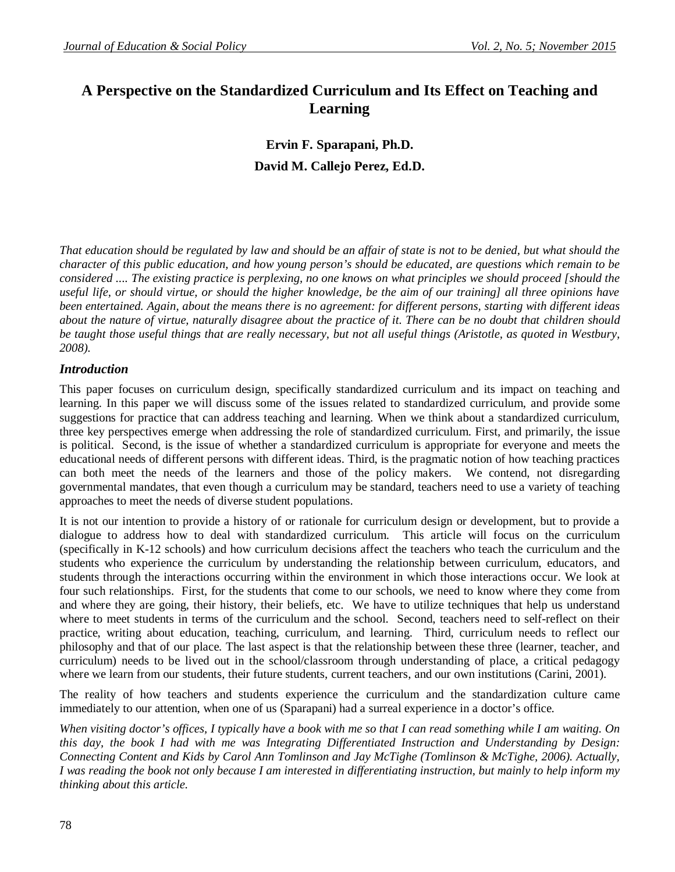# **A Perspective on the Standardized Curriculum and Its Effect on Teaching and Learning**

**Ervin F. Sparapani, Ph.D. David M. Callejo Perez, Ed.D.**

*That education should be regulated by law and should be an affair of state is not to be denied, but what should the character of this public education, and how young person's should be educated, are questions which remain to be considered .... The existing practice is perplexing, no one knows on what principles we should proceed [should the useful life, or should virtue, or should the higher knowledge, be the aim of our training] all three opinions have been entertained. Again, about the means there is no agreement: for different persons, starting with different ideas about the nature of virtue, naturally disagree about the practice of it. There can be no doubt that children should be taught those useful things that are really necessary, but not all useful things (Aristotle, as quoted in Westbury, 2008).* 

#### *Introduction*

This paper focuses on curriculum design, specifically standardized curriculum and its impact on teaching and learning. In this paper we will discuss some of the issues related to standardized curriculum, and provide some suggestions for practice that can address teaching and learning. When we think about a standardized curriculum, three key perspectives emerge when addressing the role of standardized curriculum. First, and primarily, the issue is political. Second, is the issue of whether a standardized curriculum is appropriate for everyone and meets the educational needs of different persons with different ideas. Third, is the pragmatic notion of how teaching practices can both meet the needs of the learners and those of the policy makers. We contend, not disregarding governmental mandates, that even though a curriculum may be standard, teachers need to use a variety of teaching approaches to meet the needs of diverse student populations.

It is not our intention to provide a history of or rationale for curriculum design or development, but to provide a dialogue to address how to deal with standardized curriculum. This article will focus on the curriculum (specifically in K-12 schools) and how curriculum decisions affect the teachers who teach the curriculum and the students who experience the curriculum by understanding the relationship between curriculum, educators, and students through the interactions occurring within the environment in which those interactions occur. We look at four such relationships. First, for the students that come to our schools, we need to know where they come from and where they are going, their history, their beliefs, etc. We have to utilize techniques that help us understand where to meet students in terms of the curriculum and the school. Second, teachers need to self-reflect on their practice, writing about education, teaching, curriculum, and learning. Third, curriculum needs to reflect our philosophy and that of our place. The last aspect is that the relationship between these three (learner, teacher, and curriculum) needs to be lived out in the school/classroom through understanding of place, a critical pedagogy where we learn from our students, their future students, current teachers, and our own institutions (Carini, 2001).

The reality of how teachers and students experience the curriculum and the standardization culture came immediately to our attention, when one of us (Sparapani) had a surreal experience in a doctor's office.

*When visiting doctor's offices, I typically have a book with me so that I can read something while I am waiting. On this day, the book I had with me was Integrating Differentiated Instruction and Understanding by Design: Connecting Content and Kids by Carol Ann Tomlinson and Jay McTighe (Tomlinson & McTighe, 2006). Actually, I was reading the book not only because I am interested in differentiating instruction, but mainly to help inform my thinking about this article.*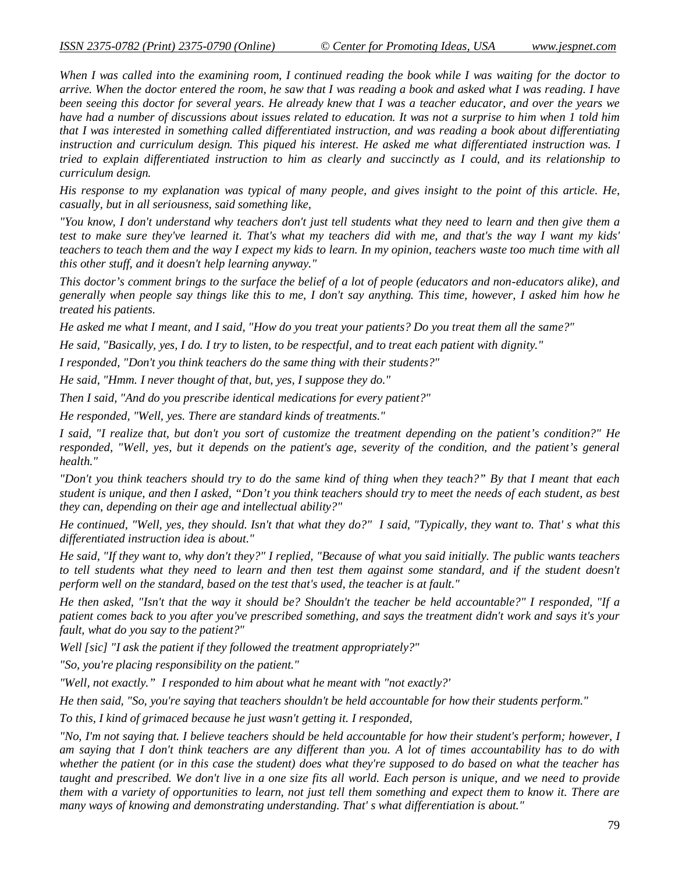*When I was called into the examining room, I continued reading the book while I was waiting for the doctor to arrive. When the doctor entered the room, he saw that I was reading a book and asked what I was reading. I have been seeing this doctor for several years. He already knew that I was a teacher educator, and over the years we have had a number of discussions about issues related to education. It was not a surprise to him when 1 told him that I was interested in something called differentiated instruction, and was reading a book about differentiating instruction and curriculum design. This piqued his interest. He asked me what differentiated instruction was. I tried to explain differentiated instruction to him as clearly and succinctly as I could, and its relationship to curriculum design.*

*His response to my explanation was typical of many people, and gives insight to the point of this article. He, casually, but in all seriousness, said something like,* 

*"You know, I don't understand why teachers don't just tell students what they need to learn and then give them a test to make sure they've learned it. That's what my teachers did with me, and that's the way I want my kids' teachers to teach them and the way I expect my kids to learn. In my opinion, teachers waste too much time with all this other stuff, and it doesn't help learning anyway."* 

*This doctor's comment brings to the surface the belief of a lot of people (educators and non-educators alike), and generally when people say things like this to me, I don't say anything. This time, however, I asked him how he treated his patients.* 

*He asked me what I meant, and I said, "How do you treat your patients? Do you treat them all the same?"* 

*He said, "Basically, yes, I do. I try to listen, to be respectful, and to treat each patient with dignity."* 

*I responded, "Don't you think teachers do the same thing with their students?"*

*He said, "Hmm. I never thought of that, but, yes, I suppose they do."* 

*Then I said, "And do you prescribe identical medications for every patient?"*

*He responded, "Well, yes. There are standard kinds of treatments."* 

*I said, "I realize that, but don't you sort of customize the treatment depending on the patient's condition?" He responded, "Well, yes, but it depends on the patient's age, severity of the condition, and the patient's general health."* 

*"Don't you think teachers should try to do the same kind of thing when they teach?" By that I meant that each student is unique, and then I asked, "Don't you think teachers should try to meet the needs of each student, as best they can, depending on their age and intellectual ability?"* 

*He continued, "Well, yes, they should. Isn't that what they do?" I said, "Typically, they want to. That' s what this differentiated instruction idea is about."* 

*He said, "If they want to, why don't they?" I replied, "Because of what you said initially. The public wants teachers*  to tell students what they need to learn and then test them against some standard, and if the student doesn't *perform well on the standard, based on the test that's used, the teacher is at fault."* 

*He then asked, "Isn't that the way it should be? Shouldn't the teacher be held accountable?" I responded, "If a patient comes back to you after you've prescribed something, and says the treatment didn't work and says it's your fault, what do you say to the patient?"* 

*Well [sic] "I ask the patient if they followed the treatment appropriately?"* 

*"So, you're placing responsibility on the patient."* 

*"Well, not exactly." I responded to him about what he meant with "not exactly?'* 

*He then said, "So, you're saying that teachers shouldn't be held accountable for how their students perform."* 

*To this, I kind of grimaced because he just wasn't getting it. I responded,* 

*"No, I'm not saying that. I believe teachers should be held accountable for how their student's perform; however, I am saying that I don't think teachers are any different than you. A lot of times accountability has to do with whether the patient (or in this case the student) does what they're supposed to do based on what the teacher has taught and prescribed. We don't live in a one size fits all world. Each person is unique, and we need to provide them with a variety of opportunities to learn, not just tell them something and expect them to know it. There are many ways of knowing and demonstrating understanding. That' s what differentiation is about."*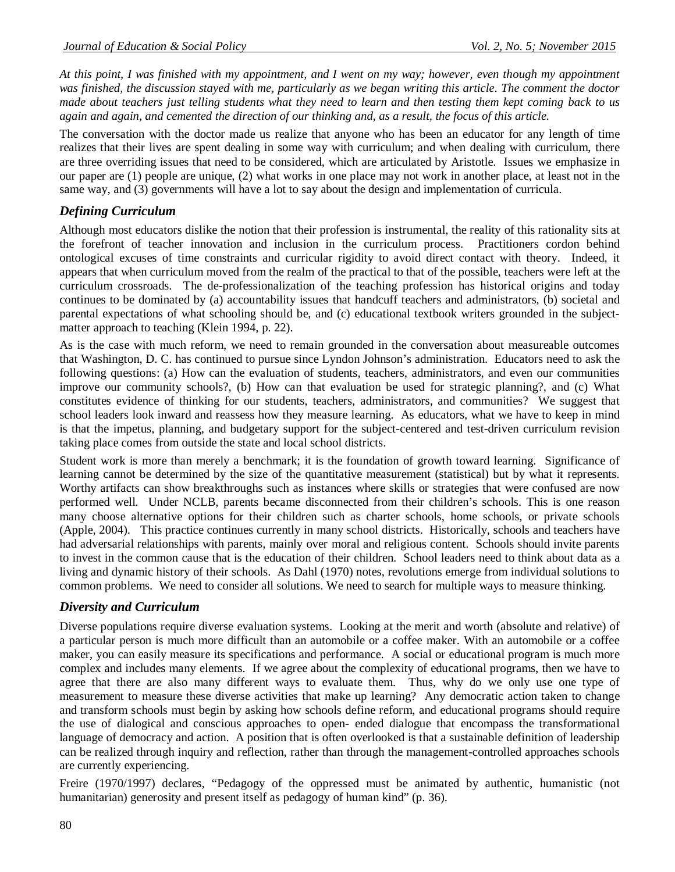*At this point, I was finished with my appointment, and I went on my way; however, even though my appointment was finished, the discussion stayed with me, particularly as we began writing this article. The comment the doctor made about teachers just telling students what they need to learn and then testing them kept coming back to us again and again, and cemented the direction of our thinking and, as a result, the focus of this article.* 

The conversation with the doctor made us realize that anyone who has been an educator for any length of time realizes that their lives are spent dealing in some way with curriculum; and when dealing with curriculum, there are three overriding issues that need to be considered, which are articulated by Aristotle. Issues we emphasize in our paper are (1) people are unique, (2) what works in one place may not work in another place, at least not in the same way, and (3) governments will have a lot to say about the design and implementation of curricula.

### *Defining Curriculum*

Although most educators dislike the notion that their profession is instrumental, the reality of this rationality sits at the forefront of teacher innovation and inclusion in the curriculum process. Practitioners cordon behind ontological excuses of time constraints and curricular rigidity to avoid direct contact with theory. Indeed, it appears that when curriculum moved from the realm of the practical to that of the possible, teachers were left at the curriculum crossroads. The de-professionalization of the teaching profession has historical origins and today continues to be dominated by (a) accountability issues that handcuff teachers and administrators, (b) societal and parental expectations of what schooling should be, and (c) educational textbook writers grounded in the subjectmatter approach to teaching (Klein 1994, p. 22).

As is the case with much reform, we need to remain grounded in the conversation about measureable outcomes that Washington, D. C. has continued to pursue since Lyndon Johnson's administration. Educators need to ask the following questions: (a) How can the evaluation of students, teachers, administrators, and even our communities improve our community schools?, (b) How can that evaluation be used for strategic planning?, and (c) What constitutes evidence of thinking for our students, teachers, administrators, and communities? We suggest that school leaders look inward and reassess how they measure learning. As educators, what we have to keep in mind is that the impetus, planning, and budgetary support for the subject-centered and test-driven curriculum revision taking place comes from outside the state and local school districts.

Student work is more than merely a benchmark; it is the foundation of growth toward learning. Significance of learning cannot be determined by the size of the quantitative measurement (statistical) but by what it represents. Worthy artifacts can show breakthroughs such as instances where skills or strategies that were confused are now performed well. Under NCLB, parents became disconnected from their children's schools. This is one reason many choose alternative options for their children such as charter schools, home schools, or private schools (Apple, 2004). This practice continues currently in many school districts. Historically, schools and teachers have had adversarial relationships with parents, mainly over moral and religious content. Schools should invite parents to invest in the common cause that is the education of their children. School leaders need to think about data as a living and dynamic history of their schools. As Dahl (1970) notes, revolutions emerge from individual solutions to common problems. We need to consider all solutions. We need to search for multiple ways to measure thinking.

#### *Diversity and Curriculum*

Diverse populations require diverse evaluation systems. Looking at the merit and worth (absolute and relative) of a particular person is much more difficult than an automobile or a coffee maker. With an automobile or a coffee maker, you can easily measure its specifications and performance. A social or educational program is much more complex and includes many elements. If we agree about the complexity of educational programs, then we have to agree that there are also many different ways to evaluate them. Thus, why do we only use one type of measurement to measure these diverse activities that make up learning? Any democratic action taken to change and transform schools must begin by asking how schools define reform, and educational programs should require the use of dialogical and conscious approaches to open- ended dialogue that encompass the transformational language of democracy and action. A position that is often overlooked is that a sustainable definition of leadership can be realized through inquiry and reflection, rather than through the management-controlled approaches schools are currently experiencing.

Freire (1970/1997) declares, "Pedagogy of the oppressed must be animated by authentic, humanistic (not humanitarian) generosity and present itself as pedagogy of human kind" (p. 36).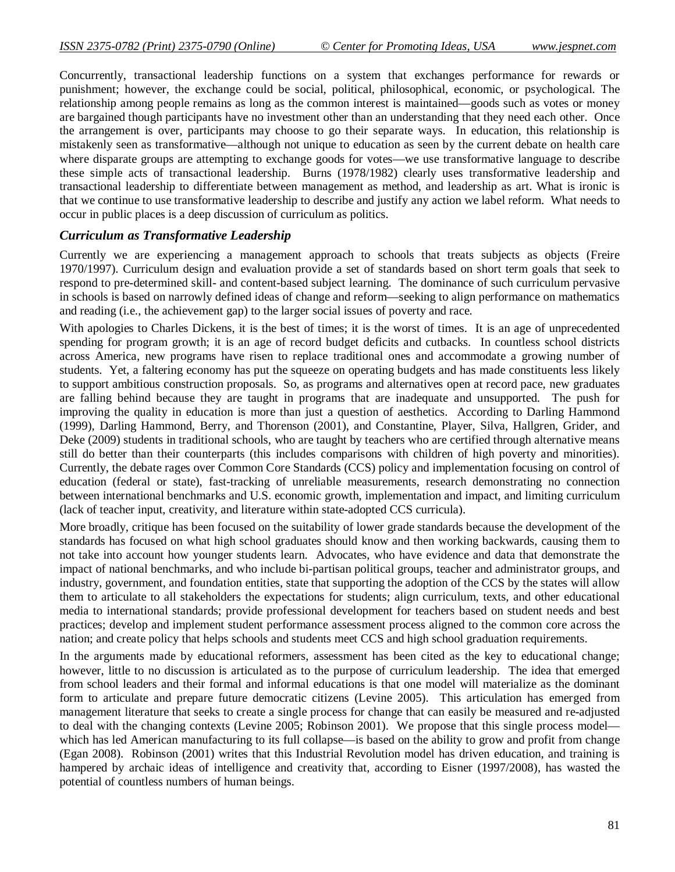Concurrently, transactional leadership functions on a system that exchanges performance for rewards or punishment; however, the exchange could be social, political, philosophical, economic, or psychological. The relationship among people remains as long as the common interest is maintained—goods such as votes or money are bargained though participants have no investment other than an understanding that they need each other. Once the arrangement is over, participants may choose to go their separate ways. In education, this relationship is mistakenly seen as transformative—although not unique to education as seen by the current debate on health care where disparate groups are attempting to exchange goods for votes—we use transformative language to describe these simple acts of transactional leadership. Burns (1978/1982) clearly uses transformative leadership and transactional leadership to differentiate between management as method, and leadership as art. What is ironic is that we continue to use transformative leadership to describe and justify any action we label reform. What needs to occur in public places is a deep discussion of curriculum as politics.

#### *Curriculum as Transformative Leadership*

Currently we are experiencing a management approach to schools that treats subjects as objects (Freire 1970/1997). Curriculum design and evaluation provide a set of standards based on short term goals that seek to respond to pre-determined skill- and content-based subject learning. The dominance of such curriculum pervasive in schools is based on narrowly defined ideas of change and reform—seeking to align performance on mathematics and reading (i.e., the achievement gap) to the larger social issues of poverty and race.

With apologies to Charles Dickens, it is the best of times; it is the worst of times. It is an age of unprecedented spending for program growth; it is an age of record budget deficits and cutbacks. In countless school districts across America, new programs have risen to replace traditional ones and accommodate a growing number of students. Yet, a faltering economy has put the squeeze on operating budgets and has made constituents less likely to support ambitious construction proposals. So, as programs and alternatives open at record pace, new graduates are falling behind because they are taught in programs that are inadequate and unsupported. The push for improving the quality in education is more than just a question of aesthetics. According to Darling Hammond (1999), Darling Hammond, Berry, and Thorenson (2001), and Constantine, Player, Silva, Hallgren, Grider, and Deke (2009) students in traditional schools, who are taught by teachers who are certified through alternative means still do better than their counterparts (this includes comparisons with children of high poverty and minorities). Currently, the debate rages over Common Core Standards (CCS) policy and implementation focusing on control of education (federal or state), fast-tracking of unreliable measurements, research demonstrating no connection between international benchmarks and U.S. economic growth, implementation and impact, and limiting curriculum (lack of teacher input, creativity, and literature within state-adopted CCS curricula).

More broadly, critique has been focused on the suitability of lower grade standards because the development of the standards has focused on what high school graduates should know and then working backwards, causing them to not take into account how younger students learn. Advocates, who have evidence and data that demonstrate the impact of national benchmarks, and who include bi-partisan political groups, teacher and administrator groups, and industry, government, and foundation entities, state that supporting the adoption of the CCS by the states will allow them to articulate to all stakeholders the expectations for students; align curriculum, texts, and other educational media to international standards; provide professional development for teachers based on student needs and best practices; develop and implement student performance assessment process aligned to the common core across the nation; and create policy that helps schools and students meet CCS and high school graduation requirements.

In the arguments made by educational reformers, assessment has been cited as the key to educational change; however, little to no discussion is articulated as to the purpose of curriculum leadership. The idea that emerged from school leaders and their formal and informal educations is that one model will materialize as the dominant form to articulate and prepare future democratic citizens (Levine 2005). This articulation has emerged from management literature that seeks to create a single process for change that can easily be measured and re-adjusted to deal with the changing contexts (Levine 2005; Robinson 2001). We propose that this single process model which has led American manufacturing to its full collapse—is based on the ability to grow and profit from change (Egan 2008). Robinson (2001) writes that this Industrial Revolution model has driven education, and training is hampered by archaic ideas of intelligence and creativity that, according to Eisner (1997/2008), has wasted the potential of countless numbers of human beings.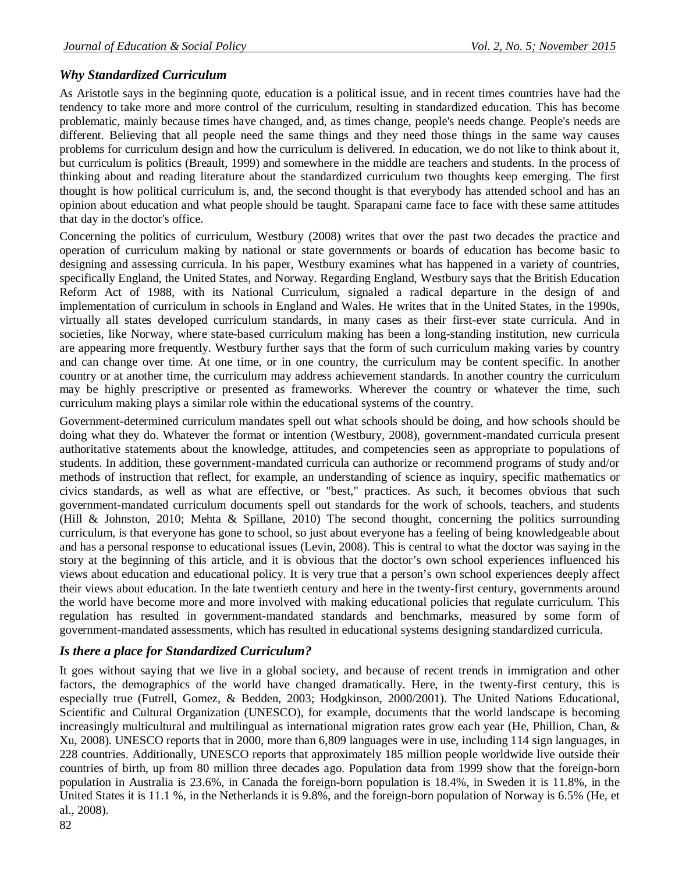# *Why Standardized Curriculum*

As Aristotle says in the beginning quote, education is a political issue, and in recent times countries have had the tendency to take more and more control of the curriculum, resulting in standardized education. This has become problematic, mainly because times have changed, and, as times change, people's needs change. People's needs are different. Believing that all people need the same things and they need those things in the same way causes problems for curriculum design and how the curriculum is delivered. In education, we do not like to think about it, but curriculum is politics (Breault, 1999) and somewhere in the middle are teachers and students. In the process of thinking about and reading literature about the standardized curriculum two thoughts keep emerging. The first thought is how political curriculum is, and, the second thought is that everybody has attended school and has an opinion about education and what people should be taught. Sparapani came face to face with these same attitudes that day in the doctor's office.

Concerning the politics of curriculum, Westbury (2008) writes that over the past two decades the practice and operation of curriculum making by national or state governments or boards of education has become basic to designing and assessing curricula. In his paper, Westbury examines what has happened in a variety of countries, specifically England, the United States, and Norway. Regarding England, Westbury says that the British Education Reform Act of 1988, with its National Curriculum, signaled a radical departure in the design of and implementation of curriculum in schools in England and Wales. He writes that in the United States, in the 1990s, virtually all states developed curriculum standards, in many cases as their first-ever state curricula. And in societies, like Norway, where state-based curriculum making has been a long-standing institution, new curricula are appearing more frequently. Westbury further says that the form of such curriculum making varies by country and can change over time. At one time, or in one country, the curriculum may be content specific. In another country or at another time, the curriculum may address achievement standards. In another country the curriculum may be highly prescriptive or presented as frameworks. Wherever the country or whatever the time, such curriculum making plays a similar role within the educational systems of the country.

Government-determined curriculum mandates spell out what schools should be doing, and how schools should be doing what they do. Whatever the format or intention (Westbury, 2008), government-mandated curricula present authoritative statements about the knowledge, attitudes, and competencies seen as appropriate to populations of students. In addition, these government-mandated curricula can authorize or recommend programs of study and/or methods of instruction that reflect, for example, an understanding of science as inquiry, specific mathematics or civics standards, as well as what are effective, or "best," practices. As such, it becomes obvious that such government-mandated curriculum documents spell out standards for the work of schools, teachers, and students (Hill & Johnston, 2010; Mehta & Spillane, 2010) The second thought, concerning the politics surrounding curriculum, is that everyone has gone to school, so just about everyone has a feeling of being knowledgeable about and has a personal response to educational issues (Levin, 2008). This is central to what the doctor was saying in the story at the beginning of this article, and it is obvious that the doctor's own school experiences influenced his views about education and educational policy. It is very true that a person's own school experiences deeply affect their views about education. In the late twentieth century and here in the twenty-first century, governments around the world have become more and more involved with making educational policies that regulate curriculum. This regulation has resulted in government-mandated standards and benchmarks, measured by some form of government-mandated assessments, which has resulted in educational systems designing standardized curricula.

### *Is there a place for Standardized Curriculum?*

It goes without saying that we live in a global society, and because of recent trends in immigration and other factors, the demographics of the world have changed dramatically. Here, in the twenty-first century, this is especially true (Futrell, Gomez, & Bedden, 2003; Hodgkinson, 2000/2001). The United Nations Educational, Scientific and Cultural Organization (UNESCO), for example, documents that the world landscape is becoming increasingly multicultural and multilingual as international migration rates grow each year (He, Phillion, Chan, & Xu, 2008). UNESCO reports that in 2000, more than 6,809 languages were in use, including 114 sign languages, in 228 countries. Additionally, UNESCO reports that approximately 185 million people worldwide live outside their countries of birth, up from 80 million three decades ago. Population data from 1999 show that the foreign-born population in Australia is 23.6%, in Canada the foreign-born population is 18.4%, in Sweden it is 11.8%, in the United States it is 11.1 %, in the Netherlands it is 9.8%, and the foreign-born population of Norway is 6.5% (He, et al., 2008).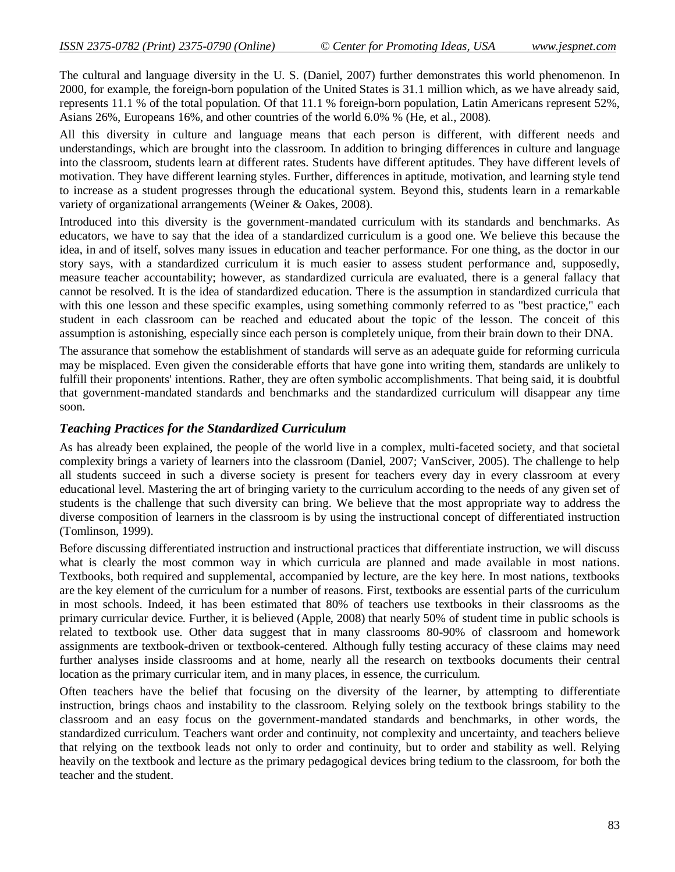The cultural and language diversity in the U. S. (Daniel, 2007) further demonstrates this world phenomenon. In 2000, for example, the foreign-born population of the United States is 31.1 million which, as we have already said, represents 11.1 % of the total population. Of that 11.1 % foreign-born population, Latin Americans represent 52%, Asians 26%, Europeans 16%, and other countries of the world 6.0% % (He, et al., 2008).

All this diversity in culture and language means that each person is different, with different needs and understandings, which are brought into the classroom. In addition to bringing differences in culture and language into the classroom, students learn at different rates. Students have different aptitudes. They have different levels of motivation. They have different learning styles. Further, differences in aptitude, motivation, and learning style tend to increase as a student progresses through the educational system. Beyond this, students learn in a remarkable variety of organizational arrangements (Weiner & Oakes, 2008).

Introduced into this diversity is the government-mandated curriculum with its standards and benchmarks. As educators, we have to say that the idea of a standardized curriculum is a good one. We believe this because the idea, in and of itself, solves many issues in education and teacher performance. For one thing, as the doctor in our story says, with a standardized curriculum it is much easier to assess student performance and, supposedly, measure teacher accountability; however, as standardized curricula are evaluated, there is a general fallacy that cannot be resolved. It is the idea of standardized education. There is the assumption in standardized curricula that with this one lesson and these specific examples, using something commonly referred to as "best practice," each student in each classroom can be reached and educated about the topic of the lesson. The conceit of this assumption is astonishing, especially since each person is completely unique, from their brain down to their DNA.

The assurance that somehow the establishment of standards will serve as an adequate guide for reforming curricula may be misplaced. Even given the considerable efforts that have gone into writing them, standards are unlikely to fulfill their proponents' intentions. Rather, they are often symbolic accomplishments. That being said, it is doubtful that government-mandated standards and benchmarks and the standardized curriculum will disappear any time soon.

#### *Teaching Practices for the Standardized Curriculum*

As has already been explained, the people of the world live in a complex, multi-faceted society, and that societal complexity brings a variety of learners into the classroom (Daniel, 2007; VanSciver, 2005). The challenge to help all students succeed in such a diverse society is present for teachers every day in every classroom at every educational level. Mastering the art of bringing variety to the curriculum according to the needs of any given set of students is the challenge that such diversity can bring. We believe that the most appropriate way to address the diverse composition of learners in the classroom is by using the instructional concept of differentiated instruction (Tomlinson, 1999).

Before discussing differentiated instruction and instructional practices that differentiate instruction, we will discuss what is clearly the most common way in which curricula are planned and made available in most nations. Textbooks, both required and supplemental, accompanied by lecture, are the key here. In most nations, textbooks are the key element of the curriculum for a number of reasons. First, textbooks are essential parts of the curriculum in most schools. Indeed, it has been estimated that 80% of teachers use textbooks in their classrooms as the primary curricular device. Further, it is believed (Apple, 2008) that nearly 50% of student time in public schools is related to textbook use. Other data suggest that in many classrooms 80-90% of classroom and homework assignments are textbook-driven or textbook-centered. Although fully testing accuracy of these claims may need further analyses inside classrooms and at home, nearly all the research on textbooks documents their central location as the primary curricular item, and in many places, in essence, the curriculum.

Often teachers have the belief that focusing on the diversity of the learner, by attempting to differentiate instruction, brings chaos and instability to the classroom. Relying solely on the textbook brings stability to the classroom and an easy focus on the government-mandated standards and benchmarks, in other words, the standardized curriculum. Teachers want order and continuity, not complexity and uncertainty, and teachers believe that relying on the textbook leads not only to order and continuity, but to order and stability as well. Relying heavily on the textbook and lecture as the primary pedagogical devices bring tedium to the classroom, for both the teacher and the student.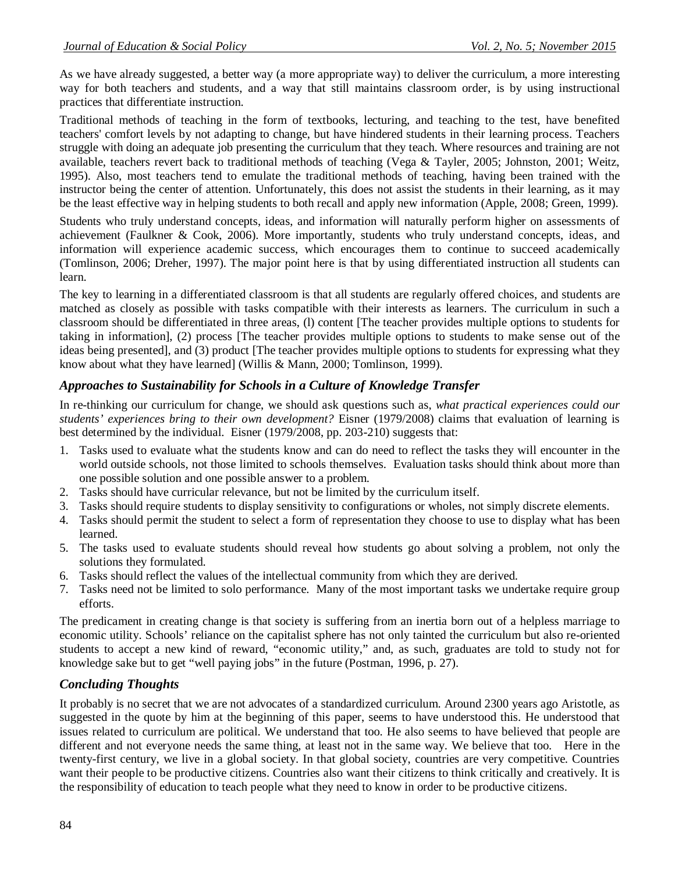As we have already suggested, a better way (a more appropriate way) to deliver the curriculum, a more interesting way for both teachers and students, and a way that still maintains classroom order, is by using instructional practices that differentiate instruction.

Traditional methods of teaching in the form of textbooks, lecturing, and teaching to the test, have benefited teachers' comfort levels by not adapting to change, but have hindered students in their learning process. Teachers struggle with doing an adequate job presenting the curriculum that they teach. Where resources and training are not available, teachers revert back to traditional methods of teaching (Vega & Tayler, 2005; Johnston, 2001; Weitz, 1995). Also, most teachers tend to emulate the traditional methods of teaching, having been trained with the instructor being the center of attention. Unfortunately, this does not assist the students in their learning, as it may be the least effective way in helping students to both recall and apply new information (Apple, 2008; Green, 1999).

Students who truly understand concepts, ideas, and information will naturally perform higher on assessments of achievement (Faulkner & Cook, 2006). More importantly, students who truly understand concepts, ideas, and information will experience academic success, which encourages them to continue to succeed academically (Tomlinson, 2006; Dreher, 1997). The major point here is that by using differentiated instruction all students can learn.

The key to learning in a differentiated classroom is that all students are regularly offered choices, and students are matched as closely as possible with tasks compatible with their interests as learners. The curriculum in such a classroom should be differentiated in three areas, (l) content [The teacher provides multiple options to students for taking in information], (2) process [The teacher provides multiple options to students to make sense out of the ideas being presented], and (3) product [The teacher provides multiple options to students for expressing what they know about what they have learned] (Willis & Mann, 2000; Tomlinson, 1999).

## *Approaches to Sustainability for Schools in a Culture of Knowledge Transfer*

In re-thinking our curriculum for change, we should ask questions such as, *what practical experiences could our students' experiences bring to their own development?* Eisner (1979/2008) claims that evaluation of learning is best determined by the individual. Eisner (1979/2008, pp. 203-210) suggests that:

- 1. Tasks used to evaluate what the students know and can do need to reflect the tasks they will encounter in the world outside schools, not those limited to schools themselves. Evaluation tasks should think about more than one possible solution and one possible answer to a problem.
- 2. Tasks should have curricular relevance, but not be limited by the curriculum itself.
- 3. Tasks should require students to display sensitivity to configurations or wholes, not simply discrete elements.
- 4. Tasks should permit the student to select a form of representation they choose to use to display what has been learned.
- 5. The tasks used to evaluate students should reveal how students go about solving a problem, not only the solutions they formulated.
- 6. Tasks should reflect the values of the intellectual community from which they are derived.
- 7. Tasks need not be limited to solo performance. Many of the most important tasks we undertake require group efforts.

The predicament in creating change is that society is suffering from an inertia born out of a helpless marriage to economic utility. Schools' reliance on the capitalist sphere has not only tainted the curriculum but also re-oriented students to accept a new kind of reward, "economic utility," and, as such, graduates are told to study not for knowledge sake but to get "well paying jobs" in the future (Postman, 1996, p. 27).

### *Concluding Thoughts*

It probably is no secret that we are not advocates of a standardized curriculum. Around 2300 years ago Aristotle, as suggested in the quote by him at the beginning of this paper, seems to have understood this. He understood that issues related to curriculum are political. We understand that too. He also seems to have believed that people are different and not everyone needs the same thing, at least not in the same way. We believe that too. Here in the twenty-first century, we live in a global society. In that global society, countries are very competitive. Countries want their people to be productive citizens. Countries also want their citizens to think critically and creatively. It is the responsibility of education to teach people what they need to know in order to be productive citizens.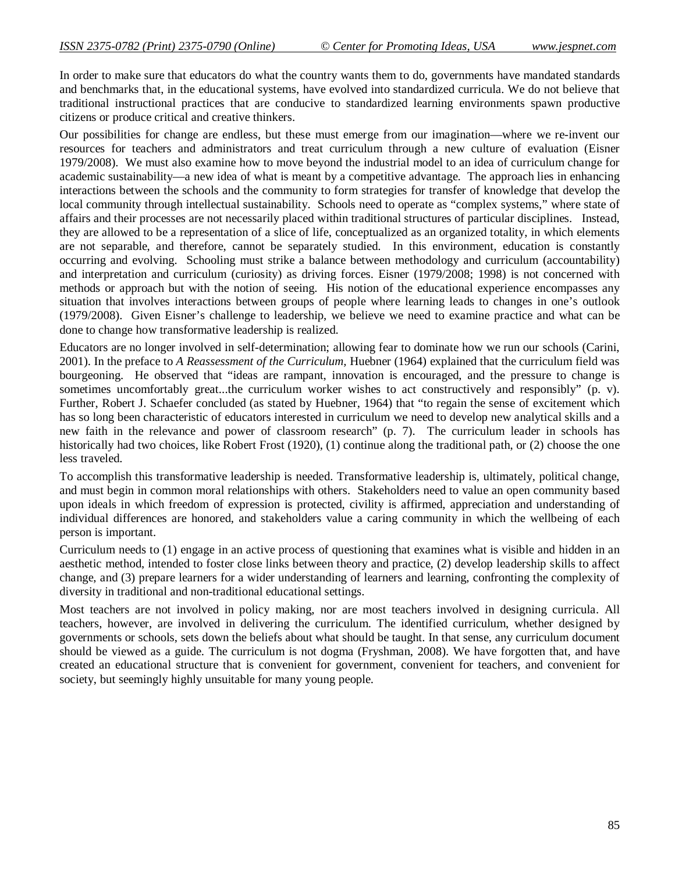In order to make sure that educators do what the country wants them to do, governments have mandated standards and benchmarks that, in the educational systems, have evolved into standardized curricula. We do not believe that traditional instructional practices that are conducive to standardized learning environments spawn productive citizens or produce critical and creative thinkers.

Our possibilities for change are endless, but these must emerge from our imagination—where we re-invent our resources for teachers and administrators and treat curriculum through a new culture of evaluation (Eisner 1979/2008). We must also examine how to move beyond the industrial model to an idea of curriculum change for academic sustainability—a new idea of what is meant by a competitive advantage. The approach lies in enhancing interactions between the schools and the community to form strategies for transfer of knowledge that develop the local community through intellectual sustainability. Schools need to operate as "complex systems," where state of affairs and their processes are not necessarily placed within traditional structures of particular disciplines. Instead, they are allowed to be a representation of a slice of life, conceptualized as an organized totality, in which elements are not separable, and therefore, cannot be separately studied. In this environment, education is constantly occurring and evolving. Schooling must strike a balance between methodology and curriculum (accountability) and interpretation and curriculum (curiosity) as driving forces. Eisner (1979/2008; 1998) is not concerned with methods or approach but with the notion of seeing. His notion of the educational experience encompasses any situation that involves interactions between groups of people where learning leads to changes in one's outlook (1979/2008). Given Eisner's challenge to leadership, we believe we need to examine practice and what can be done to change how transformative leadership is realized.

Educators are no longer involved in self-determination; allowing fear to dominate how we run our schools (Carini, 2001). In the preface to *A Reassessment of the Curriculum,* Huebner (1964) explained that the curriculum field was bourgeoning. He observed that "ideas are rampant, innovation is encouraged, and the pressure to change is sometimes uncomfortably great...the curriculum worker wishes to act constructively and responsibly" (p. v). Further, Robert J. Schaefer concluded (as stated by Huebner, 1964) that "to regain the sense of excitement which has so long been characteristic of educators interested in curriculum we need to develop new analytical skills and a new faith in the relevance and power of classroom research" (p. 7). The curriculum leader in schools has historically had two choices, like Robert Frost (1920), (1) continue along the traditional path, or (2) choose the one less traveled.

To accomplish this transformative leadership is needed. Transformative leadership is, ultimately, political change, and must begin in common moral relationships with others. Stakeholders need to value an open community based upon ideals in which freedom of expression is protected, civility is affirmed, appreciation and understanding of individual differences are honored, and stakeholders value a caring community in which the wellbeing of each person is important.

Curriculum needs to (1) engage in an active process of questioning that examines what is visible and hidden in an aesthetic method, intended to foster close links between theory and practice, (2) develop leadership skills to affect change, and (3) prepare learners for a wider understanding of learners and learning, confronting the complexity of diversity in traditional and non-traditional educational settings.

Most teachers are not involved in policy making, nor are most teachers involved in designing curricula. All teachers, however, are involved in delivering the curriculum. The identified curriculum, whether designed by governments or schools, sets down the beliefs about what should be taught. In that sense, any curriculum document should be viewed as a guide. The curriculum is not dogma (Fryshman, 2008). We have forgotten that, and have created an educational structure that is convenient for government, convenient for teachers, and convenient for society, but seemingly highly unsuitable for many young people.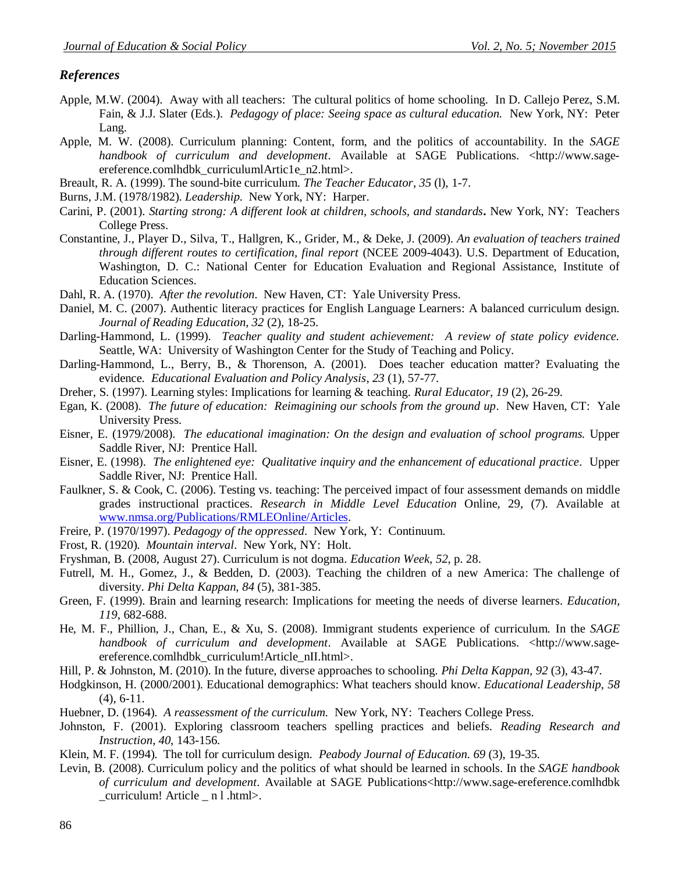#### *References*

- Apple, M.W. (2004). Away with all teachers: The cultural politics of home schooling. In D. Callejo Perez, S.M. Fain, & J.J. Slater (Eds.). *Pedagogy of place: Seeing space as cultural education.* New York, NY: Peter Lang.
- Apple, M. W. (2008). Curriculum planning: Content, form, and the politics of accountability. In the *SAGE handbook of curriculum and development*. Available at SAGE Publications. <http://www.sageereference.comlhdbk\_curriculumlArtic1e\_n2.html>.
- Breault, R. A. (1999). The sound-bite curriculum. *The Teacher Educator*, *35* (l), 1-7.
- Burns, J.M. (1978/1982). *Leadership*. New York, NY: Harper.
- Carini, P. (2001). *Starting strong: A different look at children, schools, and standards***.** New York, NY: Teachers College Press.
- Constantine, J., Player D., Silva, T., Hallgren, K., Grider, M., & Deke, J. (2009). *An evaluation of teachers trained through different routes to certification, final report* (NCEE 2009-4043). U.S. Department of Education, Washington, D. C.: National Center for Education Evaluation and Regional Assistance, Institute of Education Sciences.
- Dahl, R. A. (1970). *After the revolution*. New Haven, CT: Yale University Press.
- Daniel, M. C. (2007). Authentic literacy practices for English Language Learners: A balanced curriculum design. *Journal of Reading Education*, *32* (2), 18-25.
- Darling-Hammond, L. (1999). *Teacher quality and student achievement: A review of state policy evidence.* Seattle, WA: University of Washington Center for the Study of Teaching and Policy.
- Darling-Hammond, L., Berry, B., & Thorenson, A. (2001). Does teacher education matter? Evaluating the evidence. *Educational Evaluation and Policy Analysis*, *23* (1), 57-77.
- Dreher, S. (1997). Learning styles: Implications for learning & teaching. *Rural Educator, 19* (2), 26-29.
- Egan, K. (2008). *The future of education: Reimagining our schools from the ground up*. New Haven, CT: Yale University Press.
- Eisner, E. (1979/2008). *The educational imagination: On the design and evaluation of school programs.* Upper Saddle River, NJ: Prentice Hall.
- Eisner, E. (1998). *The enlightened eye: Qualitative inquiry and the enhancement of educational practice*. Upper Saddle River, NJ: Prentice Hall.
- Faulkner, S. & Cook, C. (2006). Testing vs. teaching: The perceived impact of four assessment demands on middle grades instructional practices. *Research in Middle Level Education* Online, 29, (7). Available at www.nmsa.org/Publications/RMLEOnline/Articles.
- Freire, P. (1970/1997). *Pedagogy of the oppressed*. New York, Y: Continuum.
- Frost, R. (1920). *Mountain interval*. New York, NY: Holt.
- Fryshman, B. (2008, August 27). Curriculum is not dogma. *Education Week*, *52*, p. 28.
- Futrell, M. H., Gomez, J., & Bedden, D. (2003). Teaching the children of a new America: The challenge of diversity. *Phi Delta Kappan*, *84* (5), 381-385.
- Green, F. (1999). Brain and learning research: Implications for meeting the needs of diverse learners. *Education, 119*, 682-688.
- He, M. F., Phillion, J., Chan, E., & Xu, S. (2008). Immigrant students experience of curriculum. In the *SAGE handbook of curriculum and development*. Available at SAGE Publications. <http://www.sageereference.comlhdbk\_curriculum!Article\_nII.html>.
- Hill, P. & Johnston, M. (2010). In the future, diverse approaches to schooling. *Phi Delta Kappan*, *92* (3), 43-47.
- Hodgkinson, H. (2000/2001). Educational demographics: What teachers should know. *Educational Leadership, 58* (4), 6-11.
- Huebner, D. (1964). *A reassessment of the curriculum.* New York, NY: Teachers College Press.
- Johnston, F. (2001). Exploring classroom teachers spelling practices and beliefs*. Reading Research and Instruction*, *40*, 143-156.
- Klein, M. F. (1994). The toll for curriculum design. *Peabody Journal of Education. 69* (3), 19-35.
- Levin, B. (2008). Curriculum policy and the politics of what should be learned in schools. In the *SAGE handbook of curriculum and development*. Available at SAGE Publications<http://www.sage-ereference.comlhdbk \_curriculum! Article \_ n l .html>.